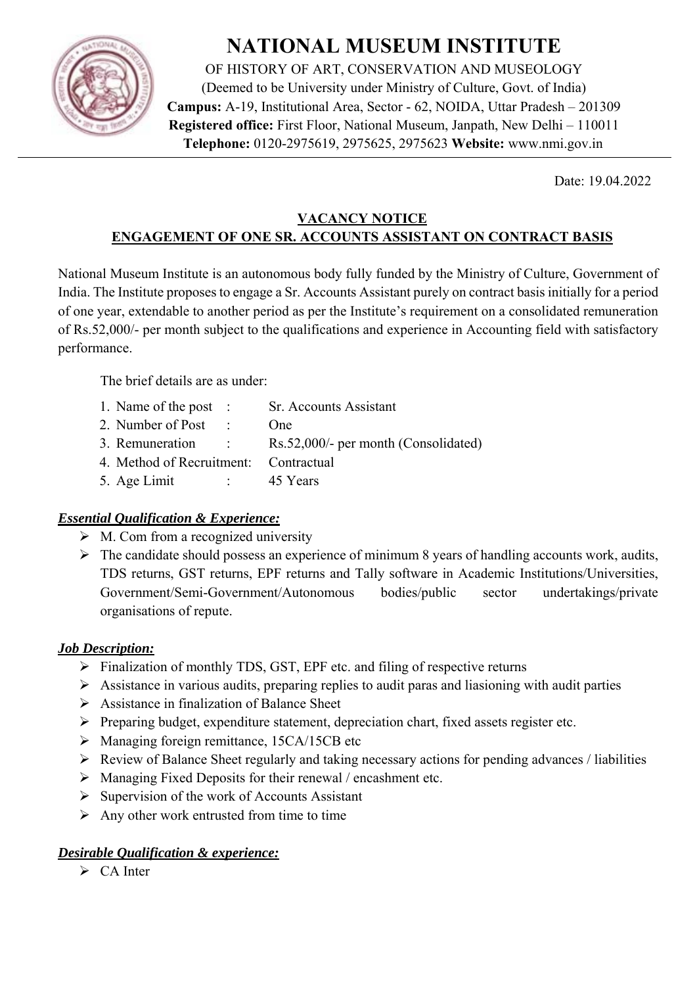

# **NATIONAL MUSEUM INSTITUTE**

OF HISTORY OF ART, CONSERVATION AND MUSEOLOGY (Deemed to be University under Ministry of Culture, Govt. of India) **Campus:** A-19, Institutional Area, Sector - 62, NOIDA, Uttar Pradesh – 201309 **Registered office:** First Floor, National Museum, Janpath, New Delhi – 110011 **Telephone:** 0120-2975619, 2975625, 2975623 **Website:** www.nmi.gov.in

Date: 19.04.2022

# **VACANCY NOTICE ENGAGEMENT OF ONE SR. ACCOUNTS ASSISTANT ON CONTRACT BASIS**

National Museum Institute is an autonomous body fully funded by the Ministry of Culture, Government of India. The Institute proposes to engage a Sr. Accounts Assistant purely on contract basis initially for a period of one year, extendable to another period as per the Institute's requirement on a consolidated remuneration of Rs.52,000/- per month subject to the qualifications and experience in Accounting field with satisfactory performance.

The brief details are as under:

| 1. Name of the post :                 |               | Sr. Accounts Assistant               |
|---------------------------------------|---------------|--------------------------------------|
| 2. Number of Post :                   |               | Omega                                |
| 3. Remuneration :                     |               | Rs.52,000/- per month (Consolidated) |
| 4. Method of Recruitment: Contractual |               |                                      |
| 5. Age Limit                          | and the state | 45 Years                             |

# *Essential Qualification & Experience:*

- $\triangleright$  M. Com from a recognized university
- $\triangleright$  The candidate should possess an experience of minimum 8 years of handling accounts work, audits, TDS returns, GST returns, EPF returns and Tally software in Academic Institutions/Universities, Government/Semi-Government/Autonomous bodies/public sector undertakings/private organisations of repute.

# *Job Description:*

- $\triangleright$  Finalization of monthly TDS, GST, EPF etc. and filing of respective returns
- $\triangleright$  Assistance in various audits, preparing replies to audit paras and liasioning with audit parties
- $\triangleright$  Assistance in finalization of Balance Sheet
- $\triangleright$  Preparing budget, expenditure statement, depreciation chart, fixed assets register etc.
- $\triangleright$  Managing foreign remittance, 15CA/15CB etc
- $\triangleright$  Review of Balance Sheet regularly and taking necessary actions for pending advances / liabilities
- $\triangleright$  Managing Fixed Deposits for their renewal / encashment etc.
- $\triangleright$  Supervision of the work of Accounts Assistant
- $\triangleright$  Any other work entrusted from time to time

# *Desirable Qualification & experience:*

 $\triangleright$  CA Inter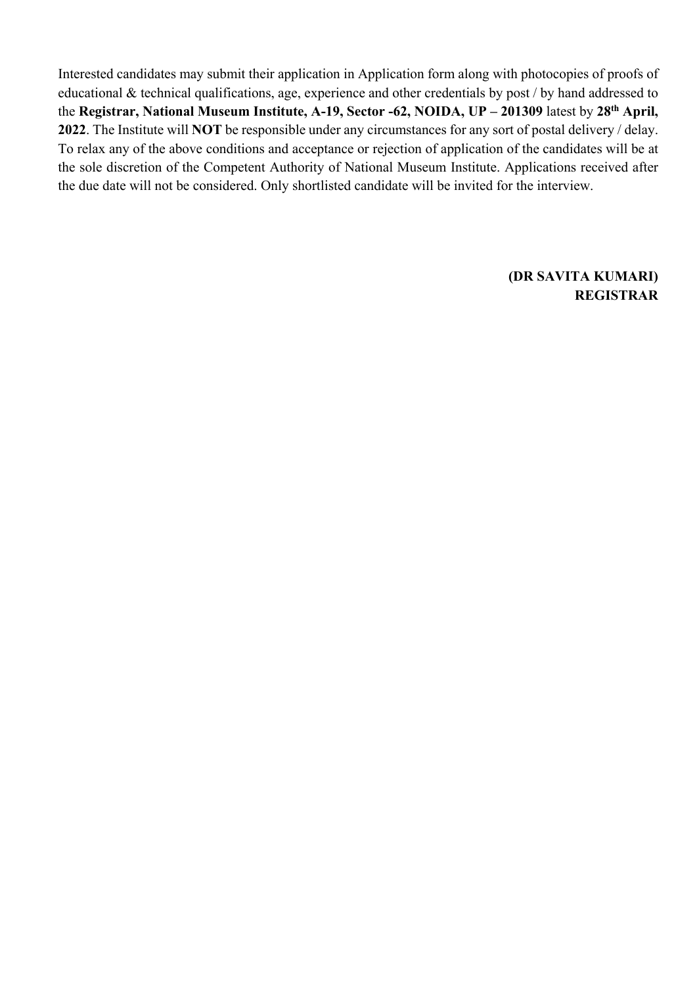Interested candidates may submit their application in Application form along with photocopies of proofs of educational & technical qualifications, age, experience and other credentials by post / by hand addressed to the **Registrar, National Museum Institute, A-19, Sector -62, NOIDA, UP – 201309** latest by **28th April, 2022**. The Institute will **NOT** be responsible under any circumstances for any sort of postal delivery / delay. To relax any of the above conditions and acceptance or rejection of application of the candidates will be at the sole discretion of the Competent Authority of National Museum Institute. Applications received after the due date will not be considered. Only shortlisted candidate will be invited for the interview.

#### **(DR SAVITA KUMARI) REGISTRAR**